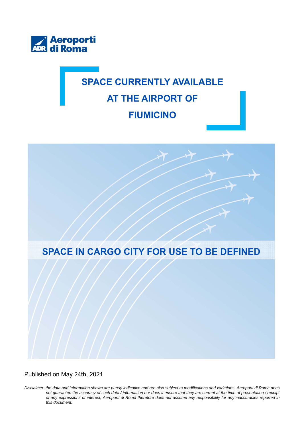

## **SPACE CURRENTLY AVAILABLE AT THE AIRPORT OF FIUMICINO**



Published on May 24th, 2021

*Disclaimer: the data and information shown are purely indicative and are also subject to modifications and variations. Aeroporti di Roma does not guarantee the accuracy of such data / information nor does it ensure that they are current at the time of presentation / receipt of any expressions of interest; Aeroporti di Roma therefore does not assume any responsibility for any inaccuracies reported in this document.*